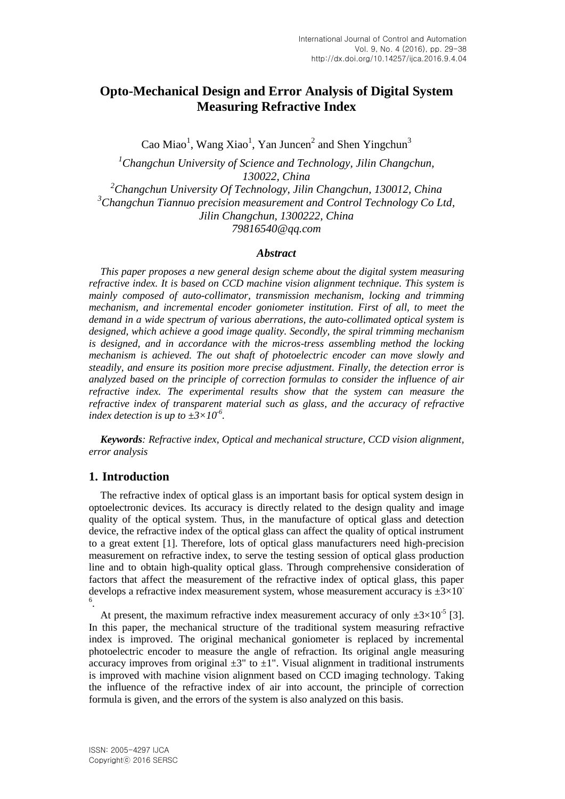# **Opto-Mechanical Design and Error Analysis of Digital System Measuring Refractive Index**

Cao Miao<sup>1</sup>, Wang Xiao<sup>1</sup>, Yan Juncen<sup>2</sup> and Shen Yingchun<sup>3</sup>

*<sup>1</sup>Changchun University of Science and Technology, Jilin Changchun, 130022, China <sup>2</sup>Changchun University Of Technology, Jilin Changchun, 130012, China <sup>3</sup>Changchun Tiannuo precision measurement and Control Technology Co Ltd, Jilin Changchun, 1300222, China 79816540@qq.com*

#### *Abstract*

*This paper proposes a new general design scheme about the digital system measuring refractive index. It is based on CCD machine vision alignment technique. This system is mainly composed of auto-collimator, transmission mechanism, locking and trimming mechanism, and incremental encoder goniometer institution. First of all, to meet the demand in a wide spectrum of various aberrations, the auto-collimated optical system is designed, which achieve a good image quality. Secondly, the spiral trimming mechanism is designed, and in accordance with the micros-tress assembling method the locking mechanism is achieved. The out shaft of photoelectric encoder can move slowly and steadily, and ensure its position more precise adjustment. Finally, the detection error is analyzed based on the principle of correction formulas to consider the influence of air refractive index. The experimental results show that the system can measure the refractive index of transparent material such as glass, and the accuracy of refractive index detection is up to*  $\pm 3 \times 10^{-6}$ *.* 

*Keywords: Refractive index, Optical and mechanical structure, CCD vision alignment, error analysis*

## **1. Introduction**

The refractive index of optical glass is an important basis for optical system design in optoelectronic devices. Its accuracy is directly related to the design quality and image quality of the optical system. Thus, in the manufacture of optical glass and detection device, the refractive index of the optical glass can affect the quality of optical instrument to a great extent [1]. Therefore, lots of optical glass manufacturers need high-precision measurement on refractive index, to serve the testing session of optical glass production line and to obtain high-quality optical glass. Through comprehensive consideration of factors that affect the measurement of the refractive index of optical glass, this paper develops a refractive index measurement system, whose measurement accuracy is  $\pm 3 \times 10^{-1}$ 6 .

At present, the maximum refractive index measurement accuracy of only  $\pm 3 \times 10^{-5}$  [3]. In this paper, the mechanical structure of the traditional system measuring refractive index is improved. The original mechanical goniometer is replaced by incremental photoelectric encoder to measure the angle of refraction. Its original angle measuring accuracy improves from original  $\pm 3$ " to  $\pm 1$ ". Visual alignment in traditional instruments is improved with machine vision alignment based on CCD imaging technology. Taking the influence of the refractive index of air into account, the principle of correction formula is given, and the errors of the system is also analyzed on this basis.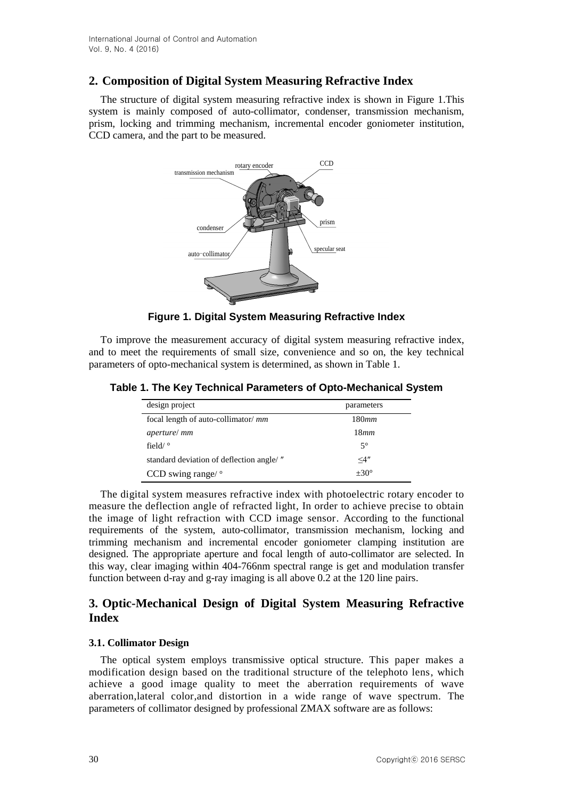## **2. Composition of Digital System Measuring Refractive Index**

The structure of digital system measuring refractive index is shown in Figure 1.This system is mainly composed of auto-collimator, condenser, transmission mechanism, prism, locking and trimming mechanism, incremental encoder goniometer institution, CCD camera, and the part to be measured.



**Figure 1. Digital System Measuring Refractive Index**

To improve the measurement accuracy of digital system measuring refractive index, and to meet the requirements of small size, convenience and so on, the key technical parameters of opto-mechanical system is determined, as shown in Table 1.

| Table 1. The Key Technical Parameters of Opto-Mechanical System |  |  |  |  |  |
|-----------------------------------------------------------------|--|--|--|--|--|
|-----------------------------------------------------------------|--|--|--|--|--|

| design project                             | parameters  |
|--------------------------------------------|-------------|
| focal length of auto-collimator/ <i>mm</i> | 180mm       |
| <i>aperture/mm</i>                         | 18mm        |
| field/ $\circ$                             | $5^{\circ}$ |
| standard deviation of deflection angle/"   | $\leq 4''$  |
| CCD swing range/ $\degree$                 | $+30^\circ$ |

The digital system measures refractive index with photoelectric rotary encoder to measure the deflection angle of [refracted light,](http://www.iciba.com/refracted_light) In order to achieve precise to obtain the image of light refraction with CCD image sensor. According to the functional requirements of the system, auto-collimator, transmission mechanism, locking and trimming mechanism and incremental encoder goniometer clamping institution are designed. The appropriate aperture and focal length of auto-collimator are selected. In this way, clear imaging within 404-766nm spectral range is get and modulation transfer function between d-ray and g-ray imaging is all above 0.2 at the 120 line pairs.

## **3. [Optic-Mechanical Design](http://dict.cnki.net/dict_result.aspx?searchword=光机设计&tjType=sentence&style=&t=optic-mechanical+design) of Digital System Measuring Refractive Index**

## **3.1. Collimator Design**

The optical system employs transmissive optical structure. This paper makes a modification design based on the traditional structure of the telephoto lens, which achieve a good image quality to meet the aberration requirements of [wave](http://dict.cnki.net/dict_result.aspx?searchword=波差&tjType=sentence&style=&t=wave+aberration)  [aberration](http://dict.cnki.net/dict_result.aspx?searchword=波差&tjType=sentence&style=&t=wave+aberration)[,lateral color,](http://dict.cnki.net/dict_result.aspx?searchword=倍率色差&tjType=sentence&style=&t=lateral+color)and [distortion](http://dict.cnki.net/dict_result.aspx?searchword=畸变&tjType=sentence&style=&t=distortion) in a wide range of wave spectrum. The parameters of collimator designed by professional ZMAX software are as follows: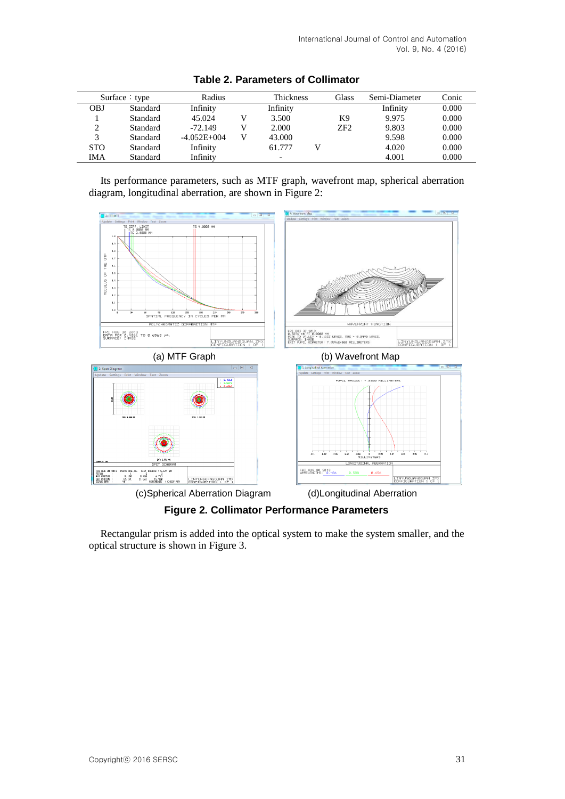|            | Surface $:$ type | Radius          | <b>Thickness</b> | Glass | Semi-Diameter | Conic |
|------------|------------------|-----------------|------------------|-------|---------------|-------|
| <b>OBJ</b> | Standard         | Infinity        | Infinity         |       | Infinity      | 0.000 |
|            | Standard         | 45.024          | 3.500            | K9    | 9.975         | 0.000 |
| 2          | Standard         | $-72.149$       | 2.000            | ZF2   | 9.803         | 0.000 |
| 3          | Standard         | $-4.052E + 004$ | 43.000           |       | 9.598         | 0.000 |
| <b>STO</b> | Standard         | Infinity        | 61.777           |       | 4.020         | 0.000 |
| IMA        | Standard         | Infinity        |                  |       | 4.001         | 0.000 |

|  |  | <b>Table 2. Parameters of Collimator</b> |
|--|--|------------------------------------------|
|--|--|------------------------------------------|

Its performance parameters, such as MTF graph, wavefront map, spherical aberration diagram, longitudinal aberration, are shown in Figure 2:



**Figure 2. Collimator Performance Parameters**

Rectangular prism is added into the optical system to make the system smaller, and the optical structure is shown in Figure 3.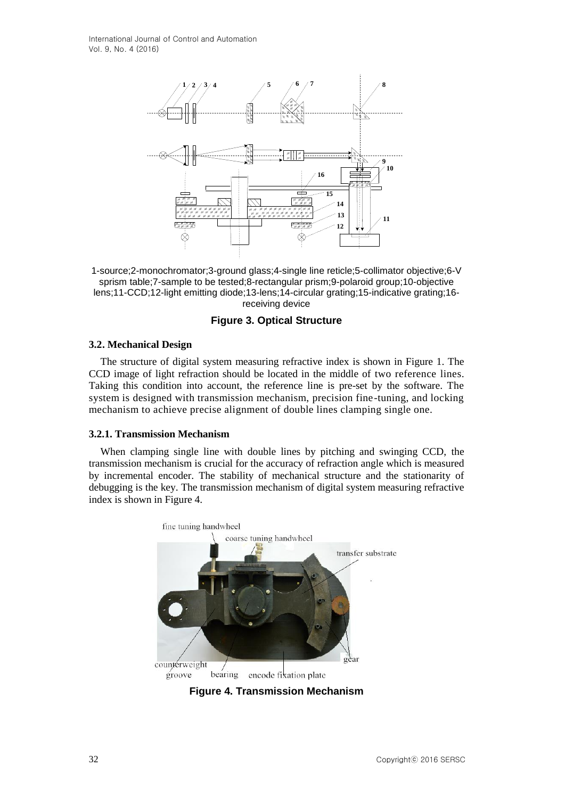

1-source;2-monochromator;3-ground glass;4-single line reticle;5-collimator objective;6-V sprism table;7-sample to be tested;8-rectangular prism;9-polaroid group;10-objective lens;11-CCD;12-light emitting diode;13-lens;14-circular grating;15-indicative grating;16 receiving device

## **Figure 3. Optical Structure**

## **3.2. Mechanical Design**

The structure of digital system measuring refractive index is shown in Figure 1. The CCD image of light refraction should be located in the middle of two reference lines. Taking this condition into account, the reference line is pre-set by the software. The system is designed with transmission mechanism, precision fine-tuning, and locking mechanism to achieve precise alignment of double lines clamping single one.

## **3.2.1. Transmission Mechanism**

When clamping single line with double lines by pitching and swinging CCD, the transmission mechanism is crucial for the accuracy of [refraction angle](http://dict.cnki.net/dict_result.aspx?searchword=折射角&tjType=sentence&style=&t=refraction+angle) which is measured by incremental encoder. The stability of mechanical structure and the stationarity of debugging is the key. The transmission mechanism of digital system measuring refractive index is shown in Figure 4.



**Figure 4. Transmission Mechanism**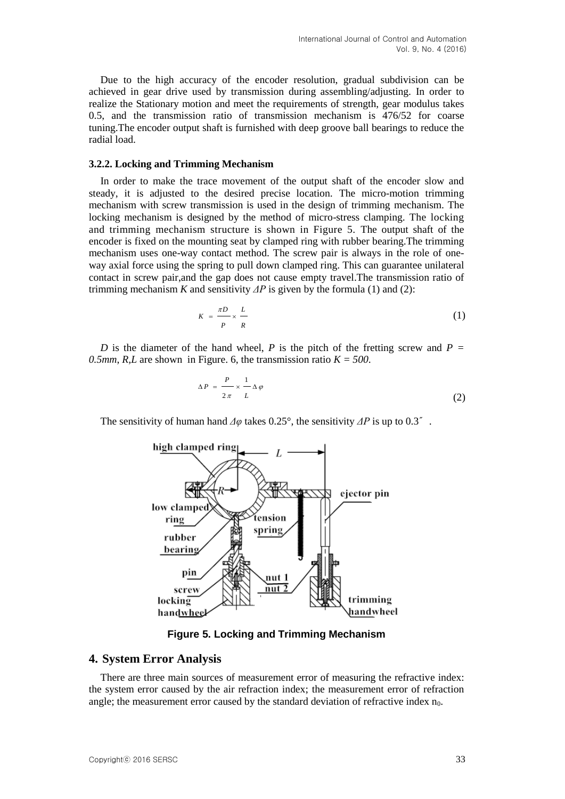Due to the high accuracy of the encoder resolution, gradual [subdivision](http://dict.cnki.net/dict_result.aspx?searchword=细分&tjType=sentence&style=&t=subdivision) can be achieved in [gear drive used by transmission](http://dict.cnki.net/dict_result.aspx?searchword=齿轮传动&tjType=sentence&style=&t=gear+transmission) during assembling/adjusting. In order to realize the Stationary motion and meet the requirements of strength, gear modulus takes 0.5, and the [transmission ratio](http://dict.cnki.net/dict_result.aspx?searchword=传动比&tjType=sentence&style=&t=transmission+ratio) of transmission mechanism is 476/52 for [coarse](http://dict.cnki.net/dict_result.aspx?searchword=粗调&tjType=sentence&style=&t=coarse+tuning)  [tuning.](http://dict.cnki.net/dict_result.aspx?searchword=粗调&tjType=sentence&style=&t=coarse+tuning)The encoder output shaft is furnished with deep groove ball bearings to reduce the radial load.

#### **3.2.2. Locking and Trimming Mechanism**

In order to make the trace movement of the output shaft of the encoder slow and steady, it is adjusted to the desired precise location. The micro-motion trimming mechanism with [screw transmission](http://dict.cnki.net/dict_result.aspx?searchword=螺旋传动&tjType=sentence&style=&t=screw+transmission) is used in the design of trimming mechanism. The locking mechanism is designed by the method of micro-stress clamping. The locking and trimming mechanism structure is shown in Figure 5. The output shaft of the encoder is fixed on the mounting seat by clamped ring with [rubber bearing.](http://dict.cnki.net/dict_result.aspx?searchword=橡胶垫&tjType=sentence&style=&t=rubber+bearing)The trimming mechanism uses one-way contact method. The [screw pair](http://dict.cnki.net/dict_result.aspx?searchword=螺旋副&tjType=sentence&style=&t=screw+pair) is always in the role of oneway axial force using the spring to pull down clamped ring. This can [guarantee](http://dict.cnki.net/dict_result.aspx?searchword=保证&tjType=sentence&style=&t=guarantee) unilateral contact in [screw pair,](http://dict.cnki.net/dict_result.aspx?searchword=螺旋副&tjType=sentence&style=&t=screw+pair)and the gap does not cause [empty travel.](http://dict.cnki.net/dict_result.aspx?searchword=空程&tjType=sentence&style=&t=empty+travel)The [transmission ratio](http://dict.cnki.net/dict_result.aspx?searchword=传动比&tjType=sentence&style=&t=transmission+ratio) of trimming mechanism *K* and sensitivity  $\Delta P$  is given by the formula (1) and (2):

$$
K = \frac{\pi D}{P} \times \frac{L}{R} \tag{1}
$$

*D* is the diameter of the hand wheel, *P* is the pitch of the fretting screw and *P* = 0.5mm,  $R$ ,  $L$  are shown in Figure. 6, the transmission ratio  $K = 500$ .

$$
\Delta P = \frac{P}{2\pi} \times \frac{1}{L} \Delta \varphi \tag{2}
$$

The sensitivity of human hand  $\Delta\varphi$  takes 0.25°, the sensitivity  $\Delta P$  is up to 0.3<sup>"</sup>.



**Figure 5. Locking and Trimming Mechanism**

#### **4. System Error Analysis**

There are three main sources of measurement error of measuring the refractive index: the system error caused by the air refraction index; the measurement error of refraction angle; the measurement error caused by the standard deviation of refractive index  $n_0$ .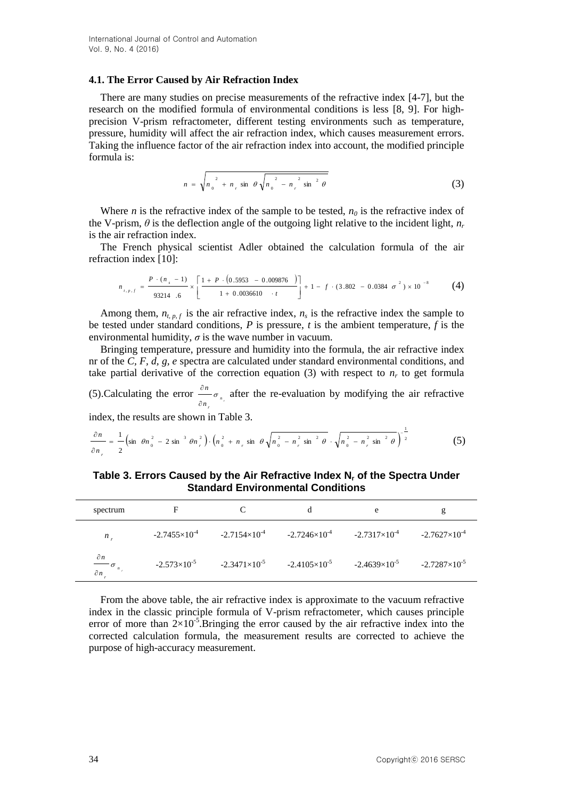#### **4.1. The Error Caused by Air Refraction Index**

There are many studies on precise measurements of the refractive index [4-7], but the research on the modified formula of environmental conditions is less [8, 9]. For highprecision V-prism refractometer, different testing environments such as temperature, pressure, humidity will affect the air refraction index, which causes measurement errors. Taking the influence factor of the air refraction index into account, the modified principle formula is:

$$
n = \sqrt{n_o^2 + n_r \sin \theta \sqrt{n_o^2 - n_r^2 \sin^2 \theta}}
$$
 (3)

Where *n* is the refractive index of the sample to be tested,  $n_0$  is the refractive index of the V-prism,  $\theta$  is the deflection angle of the outgoing light relative to the incident light,  $n_r$ is the air refraction index.

The French physical scientist Adler obtained the calculation formula of the air refraction index [10]:

$$
n_{t,p,f} = \frac{P \cdot (n_s - 1)}{93214 \cdot 6} \times \left[ \frac{1 + P \cdot (0.5953 - 0.009876)}{1 + 0.0036610 \cdot t} \right] + 1 - f \cdot (3.802 - 0.0384 \sigma^2) \times 10^{-8}
$$
 (4)

Among them,  $n_{t,p,f}$  is the air refractive index,  $n_s$  is the refractive index the sample to be tested under standard conditions, *P* is pressure, *t* is the ambient temperature, *f* is the environmental humidity,  $\sigma$  is the wave number in vacuum.

Bringing temperature, pressure and humidity into the formula, the air refractive index nr of the *C, F, d, g, e* spectra are calculated under standard environmental conditions, and take partial derivative of the correction equation (3) with respect to  $n<sub>r</sub>$  to get formula

(5). Calculating the error  $\frac{\partial n}{\partial \sigma_{n}}$ *r n*  $rac{\partial n}{\partial n}$ *o*  $\frac{\partial n}{\partial \sigma}$  after the re-evaluation by modifying the air refractive

index, the results are shown in Table 3.

$$
\frac{\partial n}{\partial n_r} = \frac{1}{2} \left( \sin \theta n_0^2 - 2 \sin^3 \theta n_r^2 \right) \cdot \left( n_0^2 + n_r \sin \theta \sqrt{n_0^2 - n_r^2 \sin^2 \theta} \cdot \sqrt{n_0^2 - n_r^2 \sin^2 \theta} \right)^{-\frac{1}{2}}
$$
(5)

**Table 3. Errors Caused by the Air Refractive Index N<sup>r</sup> of the Spectra Under Standard Environmental Conditions**

| spectrum                                          |                        |                        |                        | e                      | g                      |
|---------------------------------------------------|------------------------|------------------------|------------------------|------------------------|------------------------|
| $n_{r}$                                           | $-2.7455\times10^{-4}$ | $-2.7154\times10^{-4}$ | $-2.7246\times10^{-4}$ | $-2.7317\times10^{-4}$ | $-2.7627\times10^{-4}$ |
| $\partial n$<br>$-\sigma_{\rm n}$<br>$\partial n$ | $-2.573\times10^{-5}$  | $-2.3471\times10^{-5}$ | $-2.4105\times10^{-5}$ | $-2.4639\times10^{-5}$ | $-2.7287\times10^{-5}$ |

From the above table, the air refractive index is approximate to the vacuum refractive index in the classic principle formula of V-prism refractometer, which causes principle error of more than  $2\times10^{-5}$ . Bringing the error caused by the air refractive index into the corrected calculation formula, the measurement results are corrected to achieve the purpose of high-accuracy measurement.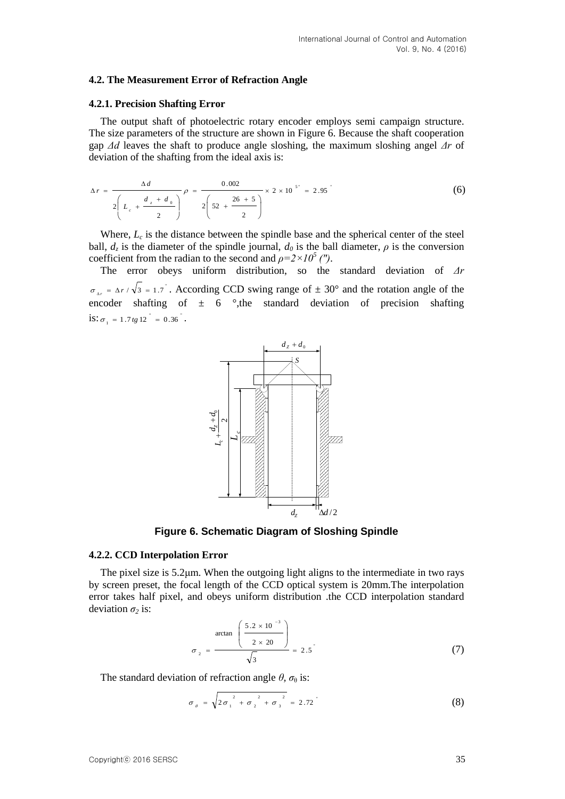#### **4.2. The Measurement Error of Refraction Angle**

#### **4.2.1. Precision Shafting Error**

The output shaft of photoelectric rotary encoder employs semi campaign structure. The size parameters of the structure are shown in Figure 6. Because the shaft cooperation gap *Δd* leaves the shaft to produce angle sloshing, the maximum sloshing angel *Δr* of deviation of the shafting from the ideal axis is:

$$
\Delta r = \frac{\Delta d}{2\left(L_c + \frac{d_c + d_0}{2}\right)} \rho = \frac{0.002}{2\left(52 + \frac{26 + 5}{2}\right)} \times 2 \times 10^{-5^\circ} = 2.95^\circ
$$
 (6)

Where,  $L_c$  is the distance between the spindle base and the spherical center of the steel ball,  $d_z$  is the diameter of the spindle journal,  $d_0$  is the ball diameter,  $\rho$  is the conversion coefficient from the radian to the second and  $\rho = 2 \times 10^5$  *(")*.

The error obeys uniform distribution, so the standard deviation of *Δr*  $\sigma_{\Delta r} = \Delta r / \sqrt{3} = 1.7$ . According CCD swing range of  $\pm 30^{\circ}$  and the rotation angle of the encoder shafting of  $\pm$  6 °, the standard deviation of precision shafting  $\text{is: } \sigma_{1} = 1.7 \text{ kg } 12 \degree = 0.36 \degree$  $\sigma_1 = 1.7$  tg 12<sup>°</sup> = 0.36<sup>°</sup>.



**Figure 6. Schematic Diagram of Sloshing Spindle**

#### **4.2.2. CCD Interpolation Error**

The pixel size is 5.2μm. When the outgoing light aligns to the intermediate in two rays by screen preset, the focal length of the CCD optical system is 20mm.The interpolation error takes half pixel, and obeys uniform distribution .the CCD interpolation standard deviation  $\sigma_2$  is:

$$
\sigma_2 = \frac{\arctan\left(\frac{5.2 \times 10^{-3}}{2 \times 20}\right)}{\sqrt{3}} = 2.5
$$
 (7)

The standard deviation of refraction angle  $\theta$ ,  $\sigma_{\theta}$  is:

$$
\sigma_{\theta} = \sqrt{2\sigma_1^2 + \sigma_2^2 + \sigma_3^2} = 2.72
$$
 (8)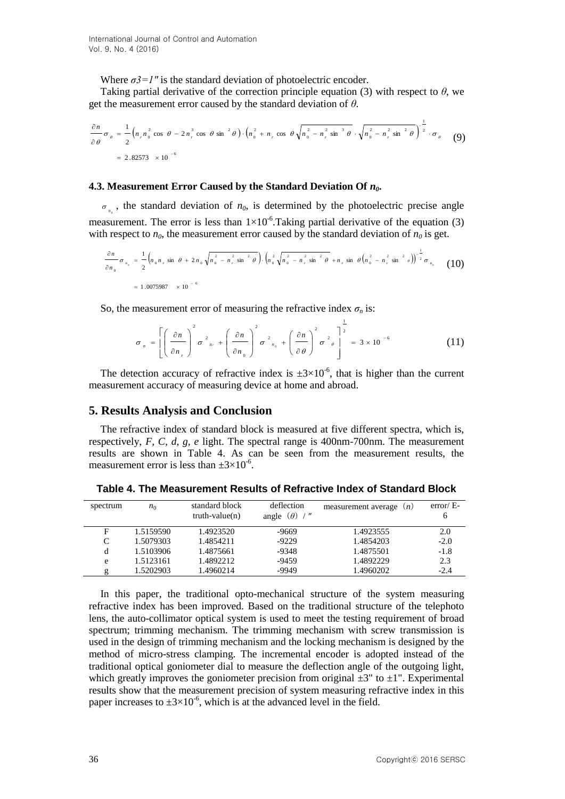Where  $\sigma$ 3=1" is the standard deviation of photoelectric encoder.

Taking partial derivative of the correction principle equation (3) with respect to *θ*, we get the measurement error caused by the standard deviation of *θ*.

$$
\frac{\partial n}{\partial \theta} \sigma_{\theta} = \frac{1}{2} \left( n_r n_{0}^{2} \cos \theta - 2 n_{r}^{3} \cos \theta \sin^{2} \theta \right) \cdot \left( n_{0}^{2} + n_{r} \cos \theta \sqrt{n_{0}^{2} - n_{r}^{2} \sin^{3} \theta} \cdot \sqrt{n_{0}^{2} - n_{r}^{2} \sin^{2} \theta} \right)^{-\frac{1}{2}} \cdot \sigma_{\theta}
$$
(9)  
= 2.82573 × 10<sup>-6</sup>

#### **4.3. Measurement Error Caused by the Standard Deviation Of** *n0***.**

 $\mathbf 0$  $\sigma_{n_{\alpha}}$ , the standard deviation of  $n_0$ , is determined by the photoelectric precise angle measurement. The error is less than  $1\times10^{-6}$ . Taking partial derivative of the equation (3) with respect to  $n_0$ , the measurement error caused by the standard deviation of  $n_0$  is get.

$$
\frac{\partial n}{\partial n_o} \sigma_{n_o} = \frac{1}{2} \left( n_o n_r \sin \theta + 2 n_o \sqrt{n_o^2 - n_r^2 \sin^2 \theta} \right) \cdot \left( n_o^2 \sqrt{n_o^2 - n_r^2 \sin^2 \theta} + n_r \sin \theta \left( n_o^2 - n_r^2 \sin^2 \theta \right) \right)^{-\frac{1}{2}} \sigma_{n_o}
$$
(10)  
= 1.0075987 × 10<sup>-6</sup>

So, the measurement error of measuring the refractive index  $\sigma_n$  is:

$$
\sigma_{n} = \left[ \left( \frac{\partial n}{\partial n_{r}} \right)^{2} \sigma_{n}^{2} + \left( \frac{\partial n}{\partial n_{0}} \right)^{2} \sigma_{n_{0}}^{2} + \left( \frac{\partial n}{\partial \theta} \right)^{2} \sigma_{\theta}^{2} \right]^{-\frac{1}{2}} = 3 \times 10^{-6}
$$
 (11)

The detection accuracy of refractive index is  $\pm 3 \times 10^{-6}$ , that is higher than the current measurement accuracy of measuring device at home and abroad.

## **5. Results Analysis and Conclusion**

The refractive index of standard block is measured at five different spectra, which is, respectively, *F, C, d, g, e* light. The spectral range is 400nm-700nm. The measurement results are shown in Table 4. As can be seen from the measurement results, the measurement error is less than  $\pm 3 \times 10^{-6}$ .

| spectrum | $n_0$     | standard block<br>$truth-value(n)$ | deflection<br>angle $(\theta)$ /" | measurement average $(n)$ | $error/E$ -<br>6 |
|----------|-----------|------------------------------------|-----------------------------------|---------------------------|------------------|
| F        | 1.5159590 | 1.4923520                          | $-9669$                           | 1.4923555                 | 2.0              |
| C        | 1.5079303 | 1.4854211                          | $-9229$                           | 1.4854203                 | $-2.0$           |
| d        | 1.5103906 | 1.4875661                          | $-9348$                           | 1.4875501                 | $-1.8$           |
| e        | 1.5123161 | 1.4892212                          | $-9459$                           | 1.4892229                 | 2.3              |
| g        | 1.5202903 | 1.4960214                          | -9949                             | 1.4960202                 | $-2.4$           |

**Table 4. The Measurement Results of Refractive Index of Standard Block**

In this paper, the traditional opto-mechanical structure of the system measuring refractive index has been improved. Based on the traditional structure of the telephoto lens, the auto-collimator optical system is used to meet the testing requirement of broad spectrum; trimming mechanism. The trimming mechanism with [screw transmission](http://dict.cnki.net/dict_result.aspx?searchword=螺旋传动&tjType=sentence&style=&t=screw+transmission) is used in the design of trimming mechanism and the locking mechanism is designed by the method of micro-stress clamping. The incremental encoder is adopted instead of the traditional optical goniometer dial to measure the deflection angle of the outgoing light, which greatly improves the goniometer precision from original  $\pm 3$ " to  $\pm 1$ ". Experimental results show that the measurement precision of system measuring refractive index in this paper increases to  $\pm 3 \times 10^{-6}$ , which is at the advanced level in the field.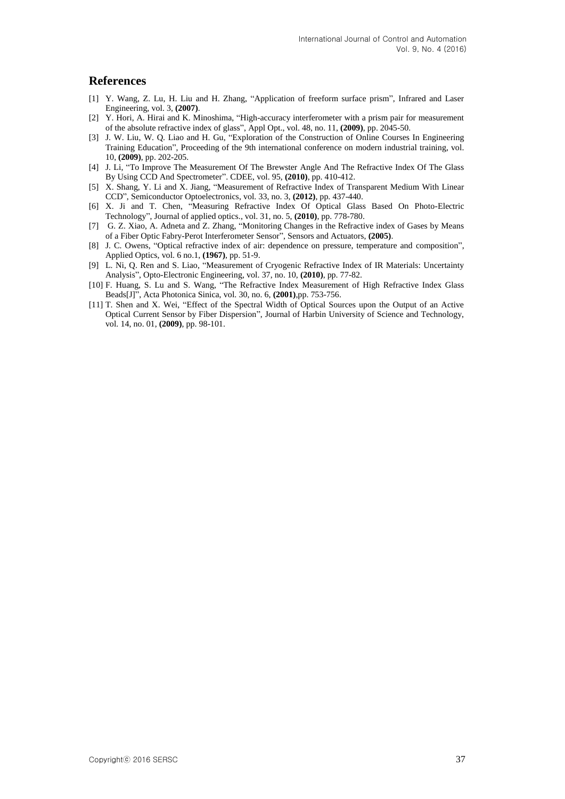## **References**

- [1] Y. Wang, Z. Lu, H. Liu and H. Zhang, "Application of freeform surface prism", Infrared and Laser Engineering, vol. 3, **(2007)**.
- [2] Y. Hori, A. Hirai and K. Minoshima, ["High-accuracy interferometer with a prism pair for measurement](http://ieeexplore.ieee.org/xpl/articleDetails.jsp?tp=&arnumber=4571408&queryText%3Drefractive+index+measurements+of+glasses)  of the [absolute refractive index of glass",](http://ieeexplore.ieee.org/xpl/articleDetails.jsp?tp=&arnumber=4571408&queryText%3Drefractive+index+measurements+of+glasses) Appl Opt., vol. 48, no. 11, **(2009)**, pp. 2045-50.
- [3] J. W. Liu, W. Q. Liao and H. Gu, "Exploration of the Construction of Online Courses In Engineering Training Education", Proceeding of the 9th international conference on modern industrial training, vol. 10, **(2009)**, pp. 202-205.
- [4] J. Li, ["To Improve The Measurement Of The Brewster Angle And The Refractive Index Of The Glass](http://ieeexplore.ieee.org/xpl/articleDetails.jsp?tp=&arnumber=5759310&queryText%3Drefractive+index+measurements+of+glasses)  [By Using CCD And Spectrometer"](http://ieeexplore.ieee.org/xpl/articleDetails.jsp?tp=&arnumber=5759310&queryText%3Drefractive+index+measurements+of+glasses). CDEE, vol. 95, **(2010)**, pp. 410-412.
- [5] X. Shang, Y. Li and X. Jiang, "Measurement of Refractive Index of Transparent Medium With Linear CCD", Semiconductor Optoelectronics, vol. 33, no. 3, **(2012)**, pp. 437-440.
- [6] X. Ji and T. Chen, "Measuring Refractive Index Of Optical Glass Based On Photo-Electric Technology", Journal of applied optics., vol. 31, no. 5, **(2010)**, pp. 778-780.
- [7] G. Z. Xiao, A. Adneta and Z. Zhang, "Monitoring Changes in the Refractive index of Gases by Means of a Fiber Optic Fabry-Perot Interferometer Sensor", Sensors and Actuators, **(2005)**.
- [8] J. C. Owens, "Optical refractive index of air: dependence on pressure, temperature and composition", Applied Optics, vol. 6 no.1, **(1967)**, pp. 51-9.
- [9] L. Ni, Q. Ren and S. Liao, "Measurement of Cryogenic Refractive Index of IR Materials: Uncertainty Analysis", Opto-Electronic Engineering, vol. 37, no. 10, **(2010)**, pp. 77-82.
- [10] F. Huang, S. Lu and S. Wang, "The Refractive Index Measurement of High Refractive Index Glass Beads[J]", Acta Photonica Sinica, vol. 30, no. 6, **(2001)**,pp. 753-756.
- [11] T. Shen and X. Wei, "Effect of the Spectral Width of Optical Sources upon the Output of an Active Optical Current Sensor by Fiber Dispersion", Journal of Harbin University of Science and Technology, vol. 14, no. 01, **(2009)**, pp. 98-101.